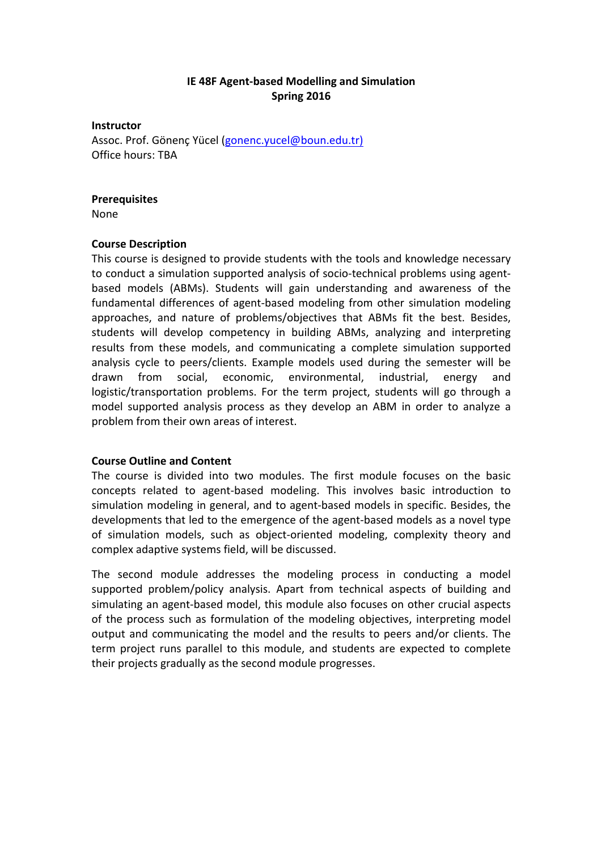# **IE 48F Agent-based Modelling and Simulation Spring 2016**

**Instructor**

Assoc. Prof. Gönenç Yücel (gonenc.yucel@boun.edu.tr) Office hours: TBA

#### **Prerequisites**

None

### **Course Description**

This course is designed to provide students with the tools and knowledge necessary to conduct a simulation supported analysis of socio-technical problems using agentbased models (ABMs). Students will gain understanding and awareness of the fundamental differences of agent-based modeling from other simulation modeling approaches, and nature of problems/objectives that ABMs fit the best. Besides, students will develop competency in building ABMs, analyzing and interpreting results from these models, and communicating a complete simulation supported analysis cycle to peers/clients. Example models used during the semester will be drawn from social, economic, environmental, industrial, energy and logistic/transportation problems. For the term project, students will go through a model supported analysis process as they develop an ABM in order to analyze a problem from their own areas of interest.

### **Course Outline and Content**

The course is divided into two modules. The first module focuses on the basic concepts related to agent-based modeling. This involves basic introduction to simulation modeling in general, and to agent-based models in specific. Besides, the developments that led to the emergence of the agent-based models as a novel type of simulation models, such as object-oriented modeling, complexity theory and complex adaptive systems field, will be discussed.

The second module addresses the modeling process in conducting a model supported problem/policy analysis. Apart from technical aspects of building and simulating an agent-based model, this module also focuses on other crucial aspects of the process such as formulation of the modeling objectives, interpreting model output and communicating the model and the results to peers and/or clients. The term project runs parallel to this module, and students are expected to complete their projects gradually as the second module progresses.